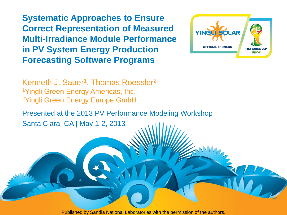**Systematic Approaches to Ensure Correct Representation of Measured Multi-Irradiance Module Performance in PV System Energy Production Forecasting Software Programs**



Kenneth J. Sauer<sup>1</sup>, Thomas Roessler<sup>2</sup> <sup>1</sup>Yingli Green Energy Americas, Inc. <sup>2</sup>Yingli Green Energy Europe GmbH

Presented at the 2013 PV Performance Modeling Workshop Santa Clara, CA | May 1-2, 2013

Published by Sandia National Laboratories with the permission of the authors.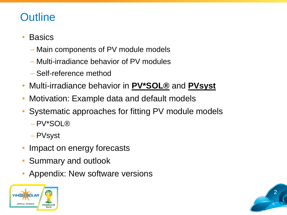# **Outline**

#### **Basics**

- Main components of PV module models
- Multi-irradiance behavior of PV modules
- Self-reference method
- Multi-irradiance behavior in **PV\*SOL®** and **PVsyst**
- Motivation: Example data and default models
- Systematic approaches for fitting PV module models
	- ‒ PV\*SOL®
	- ‒ PVsyst
- Impact on energy forecasts
- Summary and outlook
- Appendix: New software versions



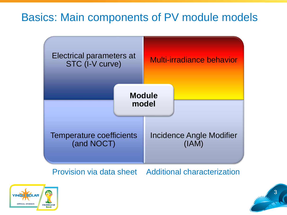# Basics: Main components of PV module models



Provision via data sheet Additional characterization



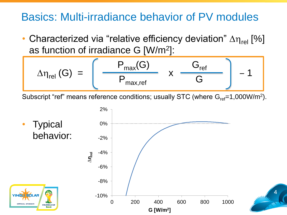# Basics: Multi-irradiance behavior of PV modules

• Characterized via "relative efficiency deviation"  $\Delta \eta_{rel}$  [%] as function of irradiance G [W/m<sup>2</sup> ]:

$$
\Delta\eta_{rel} (G) = \left[ \begin{array}{cc} P_{max}(G) & S_{ref} \\ \hline P_{max,ref} & X \end{array} \right] - 1
$$

Subscript "ref" means reference conditions; usually STC (where  $G_{ref}$ =1,000W/m<sup>2</sup>).



4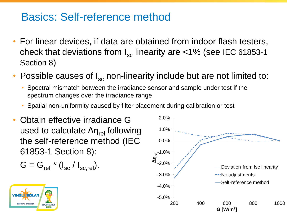## Basics: Self-reference method

- For linear devices, if data are obtained from indoor flash testers, check that deviations from  $I_{\rm sc}$  linearity are <1% (see IEC 61853-1 Section 8)
- Possible causes of  $I_{\rm sc}$  non-linearity include but are not limited to:
	- Spectral mismatch between the irradiance sensor and sample under test if the spectrum changes over the irradiance range
	- Spatial non-uniformity caused by filter placement during calibration or test
- Obtain effective irradiance G used to calculate  $\Delta \eta_{rel}$  following the self-reference method (IEC 61853-1 Section 8):

$$
G = G_{\text{ref}} \star (I_{\text{sc}} / I_{\text{sc},\text{ref}}).
$$



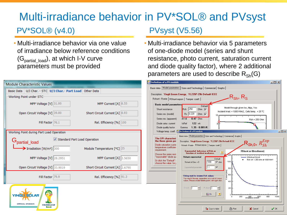#### PV\*SOL® (v4.0) PVsyst (V5.56) Multi-irradiance behavior in PV\*SOL® and PVsyst

• Multi-irradiance behavior via one value of irradiance below reference conditions  $(G_{partial\_load})$ , at which I-V curve parameters must be provided

| <b>Module Characteristic Values</b>                        |                                                                   |  |                         |                                  |
|------------------------------------------------------------|-------------------------------------------------------------------|--|-------------------------|----------------------------------|
|                                                            | Basic Data   U/I Char. - STC   U/I Char. - Part Load   Other Data |  |                         |                                  |
| Working Point under STC                                    |                                                                   |  |                         |                                  |
|                                                            | MPP Voltage $[V]$ 31.00                                           |  |                         | MPP Current [A] 8.55             |
|                                                            | Open Circuit Voltage [V] 39.00                                    |  |                         | Short Circuit Current [A] 8.93   |
|                                                            | Fill Factor 76.1                                                  |  | Rel. Efficiency [%] 100 |                                  |
| Working Point during Part Load Operation                   |                                                                   |  |                         |                                  |
| Standard Part Load Operation<br>G <sub>partial</sub> _load |                                                                   |  |                         |                                  |
|                                                            | $\rightarrow$ Irradiation [W/m <sup>2</sup> ] 300                 |  |                         | Module Temperature [°C] 25       |
|                                                            | MPP Voltage [V] 28.2951                                           |  |                         | MPP Current [A] 2.5650           |
|                                                            | Open Circuit Voltage [V] 33.9019                                  |  |                         | Short Circuit Current [A] 2.6790 |
|                                                            | Fill Factor 79.9                                                  |  |                         | Rel. Efficiency [%] 91.3         |
|                                                            |                                                                   |  |                         |                                  |

**OFFICIAL SPONSOR** 

**FIFA WORLD CUP Brasil** 

• Multi-irradiance behavior via 5 parameters of one-diode model (series and shunt resistance, photo current, saturation current and diode quality factor), where 2 additional parameters are used to describe  $R_{\rm Sh}(G)$ 

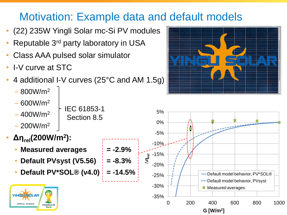# Motivation: Example data and default models

- (22) 235W Yingli Solar mc-Si PV modules
- Reputable 3<sup>rd</sup> party laboratory in USA
- Class AAA pulsed solar simulator
- I-V curve at STC
- 4 additional I-V curves (25°C and AM 1.5g)

IEC 61853-1

Section 8.5

- $-800W/m<sup>2</sup>$
- $-600W/m<sup>2</sup>$
- $-400W/m<sup>2</sup>$
- $-200W/m<sup>2</sup>$
- **Δηrel(200W/m<sup>2</sup> ):**
	- **Measured averages = -2.9%**
	- **Default PVsyst (V5.56) = -8.3%**
	- **Default PV\*SOL® (v4.0) = -14.5%**





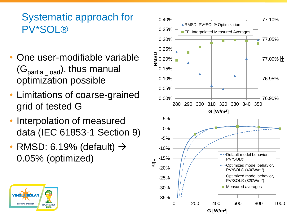## Systematic approach for PV\*SOL ®

- One user -modifiable variable ( Gpartial\_load), thus manual optimization possible
- Limitations of coarse -grained grid of tested G
- Interpolation of measured data (IEC 61853 -1 Section 9)
- RMSD: 6.19% (default)  $\rightarrow$ 0.05% (optimized )



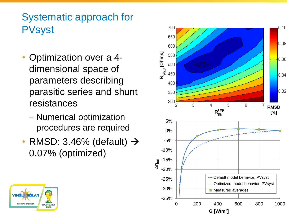# Systematic approach for **PVsyst**

- Optimization over a 4dimensional space of parameters describing parasitic series and shunt resistances
	- ‒ Numerical optimization procedures are required
- RMSD: 3.46% (default)  $\rightarrow$ 0.07% (optimized )



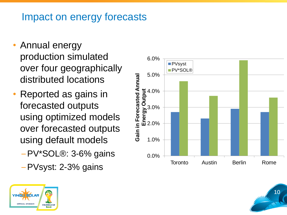### Impact on energy forecasts

- Annual energy production simulated over four geographically distributed locations
- Reported as gains in forecasted outputs using optimized models over forecasted outputs using default models
	- –PV\*SOL®: 3-6% gains
	- –PVsyst: 2-3% gains





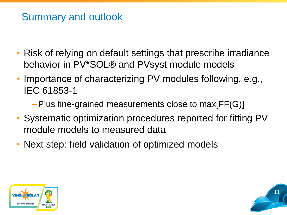# Summary and outlook

- Risk of relying on default settings that prescribe irradiance behavior in PV\*SOL® and PVsyst module models
- Importance of characterizing PV modules following, e.g., IEC 61853-1
	- –Plus fine-grained measurements close to max[FF(G)]
- Systematic optimization procedures reported for fitting PV module models to measured data
- Next step: field validation of optimized models